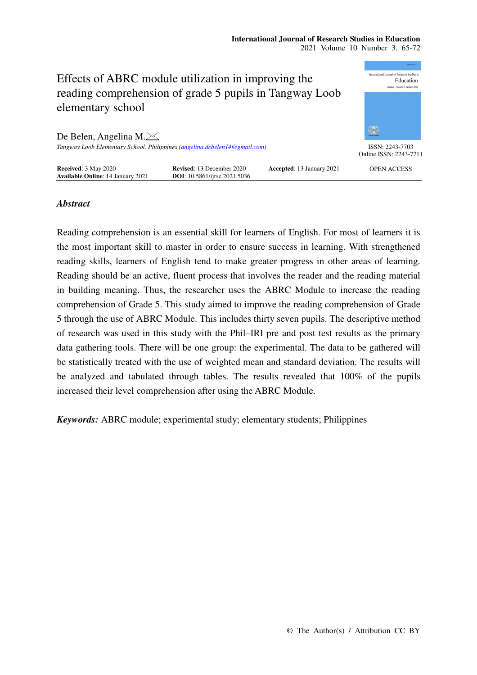#### **International Journal of Research Studies in Education**  2021 Volume 10 Number 3, 65-72



# *Abstract*

Reading comprehension is an essential skill for learners of English. For most of learners it is the most important skill to master in order to ensure success in learning. With strengthened reading skills, learners of English tend to make greater progress in other areas of learning. Reading should be an active, fluent process that involves the reader and the reading material in building meaning. Thus, the researcher uses the ABRC Module to increase the reading comprehension of Grade 5. This study aimed to improve the reading comprehension of Grade 5 through the use of ABRC Module. This includes thirty seven pupils. The descriptive method of research was used in this study with the Phil–IRI pre and post test results as the primary data gathering tools. There will be one group: the experimental. The data to be gathered will be statistically treated with the use of weighted mean and standard deviation. The results will be analyzed and tabulated through tables. The results revealed that 100% of the pupils increased their level comprehension after using the ABRC Module.

*Keywords:* ABRC module; experimental study; elementary students; Philippines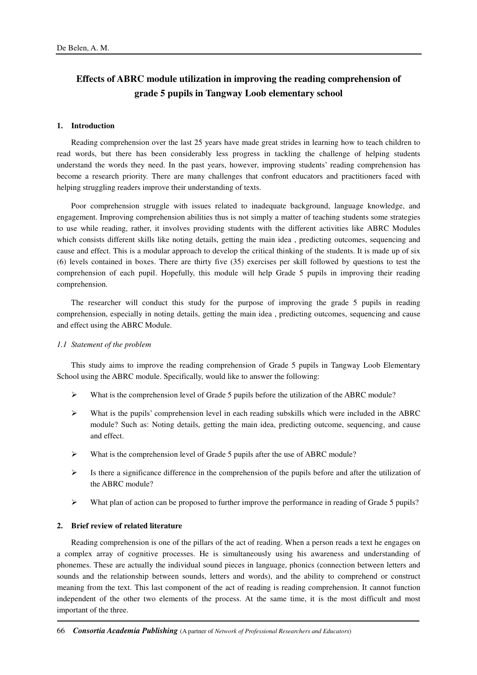# **Effects of ABRC module utilization in improving the reading comprehension of grade 5 pupils in Tangway Loob elementary school**

### **1. Introduction**

Reading comprehension over the last 25 years have made great strides in learning how to teach children to read words, but there has been considerably less progress in tackling the challenge of helping students understand the words they need. In the past years, however, improving students' reading comprehension has become a research priority. There are many challenges that confront educators and practitioners faced with helping struggling readers improve their understanding of texts.

Poor comprehension struggle with issues related to inadequate background, language knowledge, and engagement. Improving comprehension abilities thus is not simply a matter of teaching students some strategies to use while reading, rather, it involves providing students with the different activities like ABRC Modules which consists different skills like noting details, getting the main idea , predicting outcomes, sequencing and cause and effect. This is a modular approach to develop the critical thinking of the students. It is made up of six (6) levels contained in boxes. There are thirty five (35) exercises per skill followed by questions to test the comprehension of each pupil. Hopefully, this module will help Grade 5 pupils in improving their reading comprehension.

The researcher will conduct this study for the purpose of improving the grade 5 pupils in reading comprehension, especially in noting details, getting the main idea , predicting outcomes, sequencing and cause and effect using the ABRC Module.

#### *1.1 Statement of the problem*

This study aims to improve the reading comprehension of Grade 5 pupils in Tangway Loob Elementary School using the ABRC module. Specifically, would like to answer the following:

- $\triangleright$  What is the comprehension level of Grade 5 pupils before the utilization of the ABRC module?
- $\triangleright$  What is the pupils' comprehension level in each reading subskills which were included in the ABRC module? Such as: Noting details, getting the main idea, predicting outcome, sequencing, and cause and effect.
- $\triangleright$  What is the comprehension level of Grade 5 pupils after the use of ABRC module?
- $\triangleright$  Is there a significance difference in the comprehension of the pupils before and after the utilization of the ABRC module?
- $\triangleright$  What plan of action can be proposed to further improve the performance in reading of Grade 5 pupils?

#### **2. Brief review of related literature**

Reading comprehension is one of the pillars of the act of reading. When a person reads a text he engages on a complex array of cognitive processes. He is simultaneously using his awareness and understanding of phonemes. These are actually the individual sound pieces in language, phonics (connection between letters and sounds and the relationship between sounds, letters and words), and the ability to comprehend or construct meaning from the text. This last component of the act of reading is reading comprehension. It cannot function independent of the other two elements of the process. At the same time, it is the most difficult and most important of the three.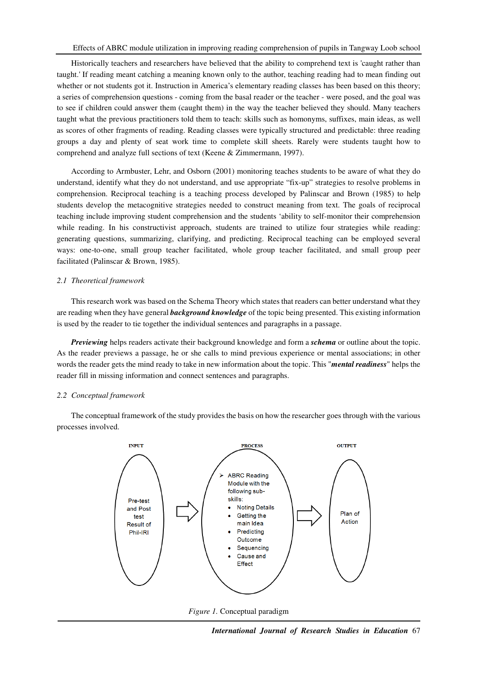Historically teachers and researchers have believed that the ability to comprehend text is 'caught rather than taught.' If reading meant catching a meaning known only to the author, teaching reading had to mean finding out whether or not students got it. Instruction in America's elementary reading classes has been based on this theory; a series of comprehension questions - coming from the basal reader or the teacher - were posed, and the goal was to see if children could answer them (caught them) in the way the teacher believed they should. Many teachers taught what the previous practitioners told them to teach: skills such as homonyms, suffixes, main ideas, as well as scores of other fragments of reading. Reading classes were typically structured and predictable: three reading groups a day and plenty of seat work time to complete skill sheets. Rarely were students taught how to comprehend and analyze full sections of text (Keene & Zimmermann, 1997).

According to Armbuster, Lehr, and Osborn (2001) monitoring teaches students to be aware of what they do understand, identify what they do not understand, and use appropriate "fix-up" strategies to resolve problems in comprehension. Reciprocal teaching is a teaching process developed by Palinscar and Brown (1985) to help students develop the metacognitive strategies needed to construct meaning from text. The goals of reciprocal teaching include improving student comprehension and the students 'ability to self-monitor their comprehension while reading. In his constructivist approach, students are trained to utilize four strategies while reading: generating questions, summarizing, clarifying, and predicting. Reciprocal teaching can be employed several ways: one-to-one, small group teacher facilitated, whole group teacher facilitated, and small group peer facilitated (Palinscar & Brown, 1985).

## *2.1 Theoretical framework*

This research work was based on the Schema Theory which states that readers can better understand what they are reading when they have general *background knowledge* of the topic being presented. This existing information is used by the reader to tie together the individual sentences and paragraphs in a passage.

*Previewing* helps readers activate their background knowledge and form a *schema* or outline about the topic. As the reader previews a passage, he or she calls to mind previous experience or mental associations; in other words the reader gets the mind ready to take in new information about the topic. This "*mental readiness*" helps the reader fill in missing information and connect sentences and paragraphs.

#### *2.2 Conceptual framework*

The conceptual framework of the study provides the basis on how the researcher goes through with the various processes involved.



*Figure 1.* Conceptual paradigm

*International Journal of Research Studies in Education* 67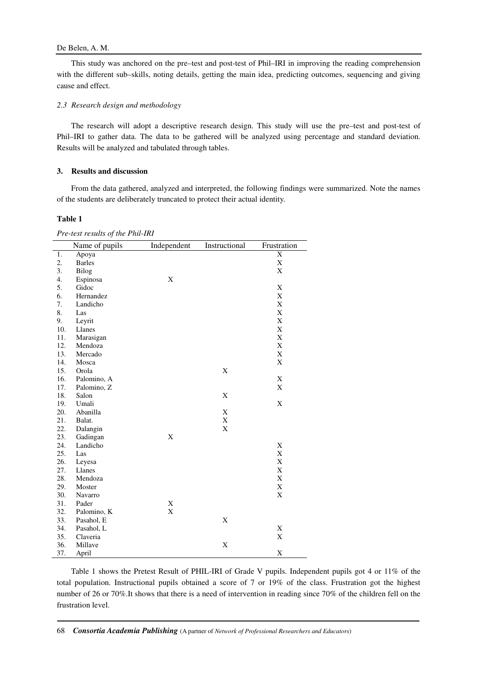## De Belen, A. M.

This study was anchored on the pre–test and post-test of Phil–IRI in improving the reading comprehension with the different sub–skills, noting details, getting the main idea, predicting outcomes, sequencing and giving cause and effect.

#### *2.3 Research design and methodology*

The research will adopt a descriptive research design. This study will use the pre–test and post-test of Phil–IRI to gather data. The data to be gathered will be analyzed using percentage and standard deviation. Results will be analyzed and tabulated through tables.

## **3. Results and discussion**

From the data gathered, analyzed and interpreted, the following findings were summarized. Note the names of the students are deliberately truncated to protect their actual identity.

#### **Table 1**

*Pre-test results of the Phil-IRI* 

|     | Name of pupils | Independent | Instructional | Frustration |
|-----|----------------|-------------|---------------|-------------|
| 1.  | Apoya          |             |               | X           |
| 2.  | <b>Barles</b>  |             |               | $\mathbf X$ |
| 3.  | Bilog          |             |               | X           |
| 4.  | Espinosa       | X           |               |             |
| 5.  | Gidoc          |             |               | X           |
| 6.  | Hernandez      |             |               | X           |
| 7.  | Landicho       |             |               | X           |
| 8.  | Las            |             |               | X           |
| 9.  | Leyrit         |             |               | X           |
| 10. | Llanes         |             |               | X           |
| 11. | Marasigan      |             |               | X           |
| 12. | Mendoza        |             |               | X           |
| 13. | Mercado        |             |               | X           |
| 14. | Mosca          |             |               | X           |
| 15. | Orola          |             | X             |             |
| 16. | Palomino, A    |             |               | $\mathbf X$ |
| 17. | Palomino, Z    |             |               | X           |
| 18. | Salon          |             | X             |             |
| 19. | Umali          |             |               | X           |
| 20. | Abanilla       |             | $\mathbf X$   |             |
| 21. | Balat.         |             | X             |             |
| 22. | Dalangin       |             | $\mathbf X$   |             |
| 23. | Gadingan       | X           |               |             |
| 24. | Landicho       |             |               | X           |
| 25. | Las            |             |               | X           |
| 26. | Leyesa         |             |               | X           |
| 27. | Llanes         |             |               | X           |
| 28. | Mendoza        |             |               | X           |
| 29. | Moster         |             |               | X           |
| 30. | Navarro        |             |               | X           |
| 31. | Pader          | X           |               |             |
| 32. | Palomino, K    | $\mathbf X$ |               |             |
| 33. | Pasahol, E     |             | X             |             |
| 34. | Pasahol, L     |             |               | X           |
| 35. | Claveria       |             |               | X           |
| 36. | Millave        |             | X             |             |
| 37. | April          |             |               | X           |

Table 1 shows the Pretest Result of PHIL-IRI of Grade V pupils. Independent pupils got 4 or 11% of the total population. Instructional pupils obtained a score of 7 or 19% of the class. Frustration got the highest number of 26 or 70%.It shows that there is a need of intervention in reading since 70% of the children fell on the frustration level.

68 *Consortia Academia Publishing* (A partner of *Network of Professional Researchers and Educators*)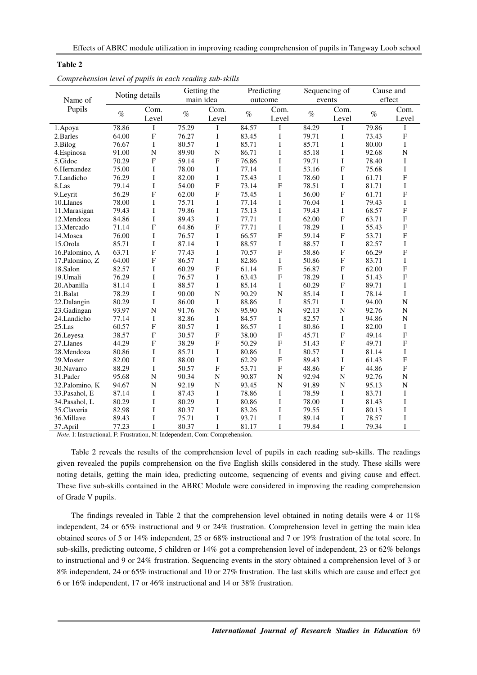| Comprenension tevel of pupus in cuen reading sub-situs |                |                           |             |                           |            |                           |               |                |           |                |
|--------------------------------------------------------|----------------|---------------------------|-------------|---------------------------|------------|---------------------------|---------------|----------------|-----------|----------------|
|                                                        | Noting details |                           | Getting the |                           | Predicting |                           | Sequencing of |                | Cause and |                |
| Name of                                                |                |                           | main idea   |                           | outcome    |                           | events        |                | effect    |                |
| Pupils                                                 |                | Com.                      |             | Com.                      |            | Com.                      |               | Com.           |           | Com.           |
|                                                        | $\%$           | Level                     | $\%$        | Level                     | $\%$       | Level                     | $\%$          | Level          | $\%$      | Level          |
| 1.Apoya                                                | 78.86          | I                         | 75.29       | $\mathbf I$               | 84.57      | I                         | 84.29         | I              | 79.86     | I              |
| 2.Barles                                               | 64.00          | $\overline{F}$            | 76.27       | I                         | 83.45      | I                         | 79.71         | I              | 73.43     | $\overline{F}$ |
| 3.Bilog                                                | 76.67          | I                         | 80.57       | $\bf I$                   | 85.71      | I                         | 85.71         | $\bf{I}$       | 80.00     | I              |
| 4.Espinosa                                             | 91.00          | $\overline{N}$            | 89.90       | $\overline{N}$            | 86.71      | $\rm I$                   | 85.18         | $\bf I$        | 92.68     | $\overline{N}$ |
| 5.Gidoc                                                | 70.29          | $\mathbf{F}$              | 59.14       | F                         | 76.86      | I                         | 79.71         | I              | 78.40     | I              |
| 6.Hernandez                                            | 75.00          | I                         | 78.00       | $\bf I$                   | 77.14      | I                         | 53.16         | ${\bf F}$      | 75.68     | $\mathbf I$    |
| 7.Landicho                                             | 76.29          | I                         | 82.00       | $\bf I$                   | 75.43      | $\bf I$                   | 78.60         | $\bf{I}$       | 61.71     | $\overline{F}$ |
| 8.Las                                                  | 79.14          | I                         | 54.00       | $\boldsymbol{\mathrm{F}}$ | 73.14      | $\mathbf F$               | 78.51         | $\bf{I}$       | 81.71     | $\mathbf I$    |
| 9.Leyrit                                               | 56.29          | $\mathbf{F}$              | 62.00       | $\overline{F}$            | 75.45      | I                         | 56.00         | $\mathbf{F}$   | 61.71     | $\overline{F}$ |
| 10.Llanes                                              | 78.00          | I                         | 75.71       | I                         | 77.14      | I                         | 76.04         | I              | 79.43     | $\mathbf I$    |
| 11.Marasigan                                           | 79.43          | I                         | 79.86       | $\bf I$                   | 75.13      | I                         | 79.43         | $\bf{I}$       | 68.57     | $\overline{F}$ |
| 12.Mendoza                                             | 84.86          | I                         | 89.43       | $\bf I$                   | 77.71      | $\bf I$                   | 62.00         | ${\bf F}$      | 63.71     | $\overline{F}$ |
| 13. Mercado                                            | 71.14          | $\overline{F}$            | 64.86       | F                         | 77.71      | I                         | 78.29         | I              | 55.43     | $\overline{F}$ |
| 14.Mosca                                               | 76.00          | I                         | 76.57       | I                         | 66.57      | $\mathbf F$               | 59.14         | $\mathbf{F}$   | 53.71     | $\mathbf{F}$   |
| 15.Orola                                               | 85.71          | I                         | 87.14       | $\bf I$                   | 88.57      | $\bf I$                   | 88.57         | $\bf{I}$       | 82.57     | I              |
| 16.Palomino, A                                         | 63.71          | $\boldsymbol{\mathrm{F}}$ | 77.43       | $\bf I$                   | 70.57      | $\mathbf F$               | 58.86         | $_{\rm F}$     | 66.29     | $\overline{F}$ |
| 17.Palomino, Z                                         | 64.00          | $\boldsymbol{\mathrm{F}}$ | 86.57       | $\bf I$                   | 82.86      | I                         | 50.86         | $_{\rm F}$     | 83.71     | $\mathbf I$    |
| 18.Salon                                               | 82.57          | I                         | 60.29       | F                         | 61.14      | $\mathbf F$               | 56.87         | ${\bf F}$      | 62.00     | $\overline{F}$ |
| 19.Umali                                               | 76.29          | I                         | 76.57       | $\bf I$                   | 63.43      | $\mathbf F$               | 78.29         | $\bf{I}$       | 51.43     | $\overline{F}$ |
| 20.Abanilla                                            | 81.14          | I                         | 88.57       | I                         | 85.14      | I                         | 60.29         | ${\bf F}$      | 89.71     | $\mathbf I$    |
| 21.Balat                                               | 78.29          | I                         | 90.00       | $\mathbf N$               | 90.29      | $\mathbf N$               | 85.14         | I              | 78.14     | I              |
| 22.Dalangin                                            | 80.29          | I                         | 86.00       | $\bf{I}$                  | 88.86      | I                         | 85.71         | $\mathbf I$    | 94.00     | $\overline{N}$ |
| 23.Gadingan                                            | 93.97          | ${\bf N}$                 | 91.76       | $\overline{N}$            | 95.90      | $\mathbf N$               | 92.13         | $\overline{N}$ | 92.76     | ${\bf N}$      |
| 24.Landicho                                            | 77.14          | I                         | 82.86       | I                         | 84.57      | I                         | 82.57         | $\mathbf I$    | 94.86     | ${\bf N}$      |
| 25.Las                                                 | 60.57          | $\overline{F}$            | 80.57       | I                         | 86.57      | I                         | 80.86         | $\mathbf I$    | 82.00     | $\mathbf I$    |
| 26.Leyesa                                              | 38.57          | $\boldsymbol{\mathrm{F}}$ | 30.57       | $\mathbf F$               | 38.00      | $\mathbf F$               | 45.71         | ${\bf F}$      | 49.14     | $\overline{F}$ |
| 27.Llanes                                              | 44.29          | $\mathbf F$               | 38.29       | F                         | 50.29      | $\boldsymbol{\mathrm{F}}$ | 51.43         | $_{\rm F}$     | 49.71     | $\mathbf{F}$   |
| 28.Mendoza                                             | 80.86          | I                         | 85.71       | $\bf I$                   | 80.86      | I                         | 80.57         | $\bf{I}$       | 81.14     | $\mathbf I$    |
| 29. Moster                                             | 82.00          | I                         | 88.00       | $\bf I$                   | 62.29      | $\mathbf F$               | 89.43         | $\bf{I}$       | 61.43     | $\overline{F}$ |
| 30. Navarro                                            | 88.29          | I                         | 50.57       | ${\bf F}$                 | 53.71      | $\mathbf F$               | 48.86         | ${\bf F}$      | 44.86     | $\overline{F}$ |
| 31.Pader                                               | 95.68          | $\mathbf N$               | 90.34       | $\mathbf N$               | 90.87      | $\mathbf N$               | 92.94         | N              | 92.76     | ${\bf N}$      |
| 32.Palomino, K                                         | 94.67          | N                         | 92.19       | $\mathbf N$               | 93.45      | ${\bf N}$                 | 91.89         | $\mathbf N$    | 95.13     | ${\bf N}$      |
| 33. Pasahol, E                                         | 87.14          | I                         | 87.43       | $\bf I$                   | 78.86      | I                         | 78.59         | $\bf I$        | 83.71     | $\bf I$        |
| 34. Pasahol, L                                         | 80.29          | I                         | 80.29       | $\bf I$                   | 80.86      | I                         | 78.00         | $\bf I$        | 81.43     | I              |
| 35.Claveria                                            | 82.98          | I                         | 80.37       | I                         | 83.26      | I                         | 79.55         | I              | 80.13     | I              |
| 36.Millave                                             | 89.43          | I                         | 75.71       | I                         | 93.71      | I                         | 89.14         | I              | 78.57     | I              |
| 37.April                                               | 77.23          | I                         | 80.37       | I                         | 81.17      | $\mathbf I$               | 79.84         | $\mathbf I$    | 79.34     | I              |

| Comprehension level of pupils in each reading sub-skills |
|----------------------------------------------------------|
|----------------------------------------------------------|

**Table 2** 

*Note*. I: Instructional, F: Frustration, N: Independent, Com: Comprehension.

Table 2 reveals the results of the comprehension level of pupils in each reading sub-skills. The readings given revealed the pupils comprehension on the five English skills considered in the study. These skills were noting details, getting the main idea, predicting outcome, sequencing of events and giving cause and effect. These five sub-skills contained in the ABRC Module were considered in improving the reading comprehension of Grade V pupils.

The findings revealed in Table 2 that the comprehension level obtained in noting details were 4 or 11% independent, 24 or 65% instructional and 9 or 24% frustration. Comprehension level in getting the main idea obtained scores of 5 or 14% independent, 25 or 68% instructional and 7 or 19% frustration of the total score. In sub-skills, predicting outcome, 5 children or 14% got a comprehension level of independent, 23 or 62% belongs to instructional and 9 or 24% frustration. Sequencing events in the story obtained a comprehension level of 3 or 8% independent, 24 or 65% instructional and 10 or 27% frustration. The last skills which are cause and effect got 6 or 16% independent, 17 or 46% instructional and 14 or 38% frustration.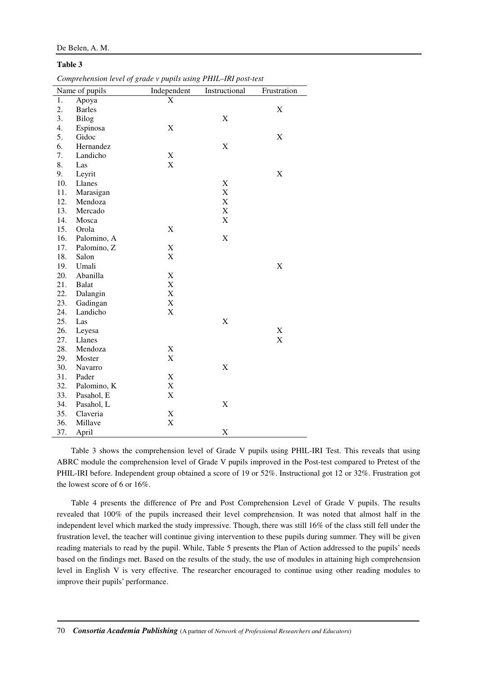#### De Belen, A. M.

#### **Table 3**

*Comprehension level of grade v pupils using PHIL–IRI post-test* 

|     | Name of pupils | Independent | $r_{r}$ $r_{r}$ $\ldots$ $\ldots$ $s$ $\ldots$ $\ldots$ $\ldots$ $r$ $\ldots$ $\ldots$<br>Instructional | Frustration               |
|-----|----------------|-------------|---------------------------------------------------------------------------------------------------------|---------------------------|
| 1.  | Apoya          | X           |                                                                                                         |                           |
| 2.  | <b>Barles</b>  |             |                                                                                                         | $\mathbf X$               |
| 3.  | <b>Bilog</b>   |             | X                                                                                                       |                           |
| 4.  | Espinosa       | X           |                                                                                                         |                           |
| 5.  | Gidoc          |             |                                                                                                         | X                         |
| 6.  | Hernandez      |             | X                                                                                                       |                           |
| 7.  | Landicho       | $\mathbf X$ |                                                                                                         |                           |
| 8.  | Las            | $\mathbf X$ |                                                                                                         |                           |
| 9.  | Leyrit         |             |                                                                                                         | $\boldsymbol{\mathrm{X}}$ |
| 10. | Llanes         |             | X                                                                                                       |                           |
| 11. | Marasigan      |             | X                                                                                                       |                           |
| 12. | Mendoza        |             | X                                                                                                       |                           |
| 13. | Mercado        |             | X                                                                                                       |                           |
| 14. | Mosca          |             | X                                                                                                       |                           |
| 15. | Orola          | $\mathbf X$ |                                                                                                         |                           |
| 16. | Palomino, A    |             | X                                                                                                       |                           |
| 17. | Palomino, Z    | $\mathbf X$ |                                                                                                         |                           |
| 18. | Salon          | $\mathbf X$ |                                                                                                         |                           |
| 19. | Umali          |             |                                                                                                         | X                         |
| 20. | Abanilla       | $\mathbf X$ |                                                                                                         |                           |
| 21. | <b>Balat</b>   | $\mathbf X$ |                                                                                                         |                           |
| 22. | Dalangin       | $\mathbf X$ |                                                                                                         |                           |
| 23. | Gadingan       | $\mathbf X$ |                                                                                                         |                           |
| 24. | Landicho       | $\mathbf X$ |                                                                                                         |                           |
| 25. | Las            |             | X                                                                                                       |                           |
| 26. | Leyesa         |             |                                                                                                         | $\mathbf X$               |
| 27. | Llanes         |             |                                                                                                         | X                         |
| 28. | Mendoza        | $\mathbf X$ |                                                                                                         |                           |
| 29. | Moster         | $\mathbf X$ |                                                                                                         |                           |
| 30. | Navarro        |             | X                                                                                                       |                           |
| 31. | Pader          | $\mathbf X$ |                                                                                                         |                           |
| 32. | Palomino, K    | $\mathbf X$ |                                                                                                         |                           |
| 33. | Pasahol, E     | $\mathbf X$ |                                                                                                         |                           |
| 34. | Pasahol, L     |             | X                                                                                                       |                           |
| 35. | Claveria       | $\mathbf X$ |                                                                                                         |                           |
| 36. | Millave        | X           |                                                                                                         |                           |
| 37. | April          |             | X                                                                                                       |                           |

Table 3 shows the comprehension level of Grade V pupils using PHIL-IRI Test. This reveals that using ABRC module the comprehension level of Grade V pupils improved in the Post-test compared to Pretest of the PHIL-IRI before. Independent group obtained a score of 19 or 52%. Instructional got 12 or 32%. Frustration got the lowest score of 6 or 16%.

Table 4 presents the difference of Pre and Post Comprehension Level of Grade V pupils. The results revealed that 100% of the pupils increased their level comprehension. It was noted that almost half in the independent level which marked the study impressive. Though, there was still 16% of the class still fell under the frustration level, the teacher will continue giving intervention to these pupils during summer. They will be given reading materials to read by the pupil. While, Table 5 presents the Plan of Action addressed to the pupils' needs based on the findings met. Based on the results of the study, the use of modules in attaining high comprehension level in English V is very effective. The researcher encouraged to continue using other reading modules to improve their pupils' performance.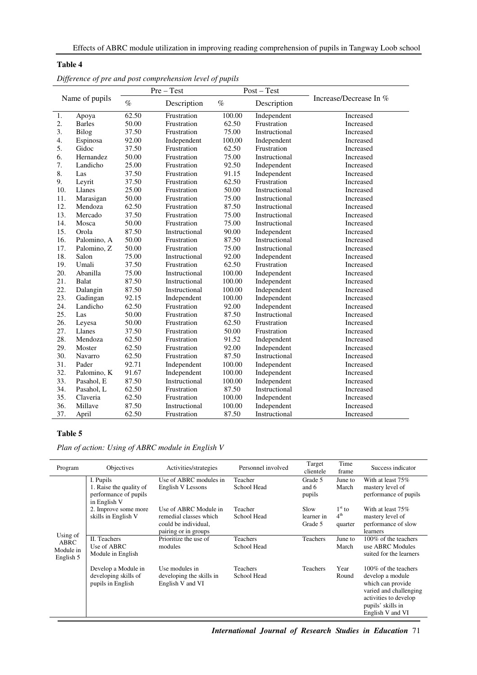|     |                | $Pre-Test$ |               |        | $Post - Test$ |                        |  |
|-----|----------------|------------|---------------|--------|---------------|------------------------|--|
|     | Name of pupils | $\%$       | Description   | $\%$   | Description   | Increase/Decrease In % |  |
| 1.  | Apoya          | 62.50      | Frustration   | 100.00 | Independent   | Increased              |  |
| 2.  | <b>Barles</b>  | 50.00      | Frustration   | 62.50  | Frustration   | Increased              |  |
| 3.  | Bilog          | 37.50      | Frustration   | 75.00  | Instructional | Increased              |  |
| 4.  | Espinosa       | 92.00      | Independent   | 100,00 | Independent   | Increased              |  |
| 5.  | Gidoc          | 37.50      | Frustration   | 62.50  | Frustration   | Increased              |  |
| 6.  | Hernandez      | 50.00      | Frustration   | 75.00  | Instructional | Increased              |  |
| 7.  | Landicho       | 25.00      | Frustration   | 92.50  | Independent   | Increased              |  |
| 8.  | Las            | 37.50      | Frustration   | 91.15  | Independent   | Increased              |  |
| 9.  | Leyrit         | 37.50      | Frustration   | 62.50  | Frustration   | Increased              |  |
| 10. | Llanes         | 25.00      | Frustration   | 50.00  | Instructional | Increased              |  |
| 11. | Marasigan      | 50.00      | Frustration   | 75.00  | Instructional | Increased              |  |
| 12. | Mendoza        | 62.50      | Frustration   | 87.50  | Instructional | Increased              |  |
| 13. | Mercado        | 37.50      | Frustration   | 75.00  | Instructional | Increased              |  |
| 14. | Mosca          | 50.00      | Frustration   | 75.00  | Instructional | Increased              |  |
| 15. | Orola          | 87.50      | Instructional | 90.00  | Independent   | Increased              |  |
| 16. | Palomino, A    | 50.00      | Frustration   | 87.50  | Instructional | Increased              |  |
| 17. | Palomino, Z    | 50.00      | Frustration   | 75.00  | Instructional | Increased              |  |
| 18. | Salon          | 75.00      | Instructional | 92.00  | Independent   | Increased              |  |
| 19. | Umali          | 37.50      | Frustration   | 62.50  | Frustration   | Increased              |  |
| 20. | Abanilla       | 75.00      | Instructional | 100.00 | Independent   | Increased              |  |
| 21. | Balat          | 87.50      | Instructional | 100.00 | Independent   | Increased              |  |
| 22. | Dalangin       | 87.50      | Instructional | 100.00 | Independent   | Increased              |  |
| 23. | Gadingan       | 92.15      | Independent   | 100.00 | Independent   | Increased              |  |
| 24. | Landicho       | 62.50      | Frustration   | 92.00  | Independent   | Increased              |  |
| 25. | Las            | 50.00      | Frustration   | 87.50  | Instructional | Increased              |  |
| 26. | Leyesa         | 50.00      | Frustration   | 62.50  | Frustration   | Increased              |  |
| 27. | Llanes         | 37.50      | Frustration   | 50.00  | Frustration   | Increased              |  |
| 28. | Mendoza        | 62.50      | Frustration   | 91.52  | Independent   | Increased              |  |
| 29. | Moster         | 62.50      | Frustration   | 92.00  | Independent   | Increased              |  |
| 30. | Navarro        | 62.50      | Frustration   | 87.50  | Instructional | Increased              |  |
| 31. | Pader          | 92.71      | Independent   | 100.00 | Independent   | Increased              |  |
| 32. | Palomino, K    | 91.67      | Independent   | 100.00 | Independent   | Increased              |  |
| 33. | Pasahol, E     | 87.50      | Instructional | 100.00 | Independent   | Increased              |  |
| 34. | Pasahol, L     | 62.50      | Frustration   | 87.50  | Instructional | Increased              |  |
| 35. | Claveria       | 62.50      | Frustration   | 100.00 | Independent   | Increased              |  |
| 36. | Millave        | 87.50      | Instructional | 100.00 | Independent   | Increased              |  |
| 37. | April          | 62.50      | Frustration   | 87.50  | Instructional | Increased              |  |

|  | Difference of pre and post comprehension level of pupils |  |
|--|----------------------------------------------------------|--|
|  |                                                          |  |
|  |                                                          |  |

# **Table 5**

**Table 4** 

*Plan of action: Using of ABRC module in English V* 

| Program                                    | <b>Objectives</b>                                                             | Activities/strategies                                                                           | Personnel involved             | Target<br>clientele           | Time<br>frame                          | Success indicator                                                                                                                                          |
|--------------------------------------------|-------------------------------------------------------------------------------|-------------------------------------------------------------------------------------------------|--------------------------------|-------------------------------|----------------------------------------|------------------------------------------------------------------------------------------------------------------------------------------------------------|
|                                            | I. Pupils<br>1. Raise the quality of<br>performance of pupils<br>in English V | Use of ABRC modules in<br>English V Lessons                                                     | Teacher<br>School Head         | Grade 5<br>and 6<br>pupils    | June to<br>March                       | With at least 75%<br>mastery level of<br>performance of pupils                                                                                             |
|                                            | 2. Improve some more<br>skills in English V                                   | Use of ABRC Module in<br>remedial classes which<br>could be individual.<br>pairing or in groups | Teacher<br>School Head         | Slow<br>learner in<br>Grade 5 | $1st$ to<br>4 <sup>th</sup><br>quarter | With at least 75%<br>mastery level of<br>performance of slow<br>learners                                                                                   |
| Using of<br>ABRC<br>Module in<br>English 5 | II. Teachers<br>Use of ABRC<br>Module in English                              | Prioritize the use of<br>modules                                                                | <b>Teachers</b><br>School Head | Teachers                      | June to<br>March                       | 100% of the teachers<br>use ABRC Modules<br>suited for the learners                                                                                        |
|                                            | Develop a Module in<br>developing skills of<br>pupils in English              | Use modules in<br>developing the skills in<br>English V and VI                                  | <b>Teachers</b><br>School Head | <b>Teachers</b>               | Year<br>Round                          | 100\% of the teachers<br>develop a module<br>which can provide<br>varied and challenging<br>activities to develop<br>pupils' skills in<br>English V and VI |